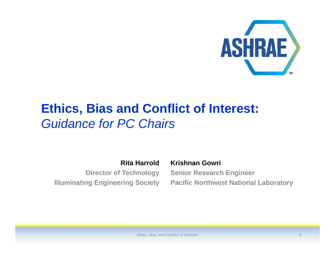

## **Ethics, Bias and Conflict of Interest:** *Guidance for PC Chairs*

**Rita HarroldDirector of Technology**

**Krishnan Gowri Senior Research Engineer Illuminating Engineering Society Pacific Northwest National Laboratory**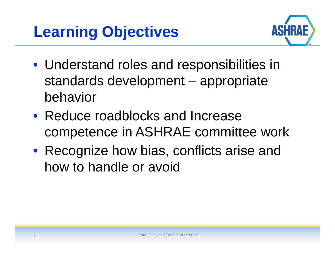

- Understand roles and responsibilities in standards development – appropriate behavior
- Reduce roadblocks and Increase competence in ASHRAE committee work
- Recognize how bias, conflicts arise and how to handle or avoid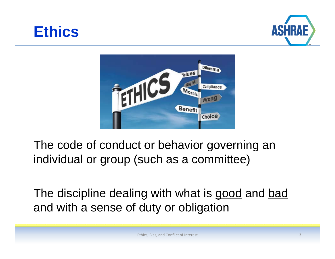





The code of conduct or behavior governing an individual or group (such as a committee)

The discipline dealing with what is good and bad and with <sup>a</sup> sense of duty or obligation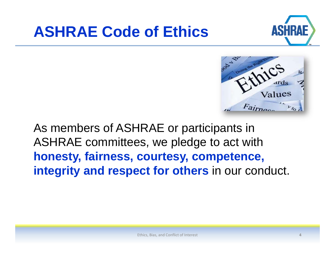# **ASHRAE Code of Ethics**





As members of ASHRAE or participants in ASHRAE committees, we pledge to act with **honesty, fairness, courtesy, competence, integrity and respect for others** in our conduct.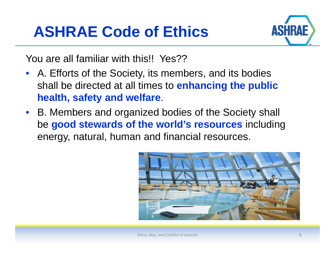# **ASHRAE Code of Ethics**



You are all familiar with this!! Yes??

- A. Efforts of the Society, its members, and its bodies shall be directed at all times to **enhancing the public health, safety and welfare**.
- B. Members and organized bodies of the Society shall be **good stewards of the world's resources** including energy, natural, human and financial resources.



Ethics, Bias, and Conflict of Interest **5**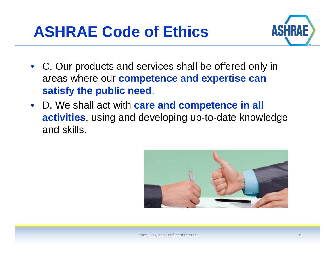



- C. Our products and services shall be offered only in areas where our **competence and expertise can satisfy the public need**.
- D. We shall act with **care and competence in all activities**, using and developing up-to-date knowledge and skills.

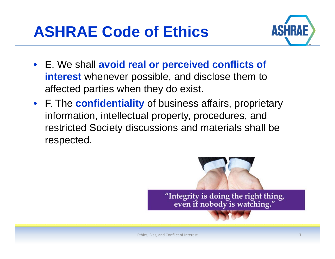



- E. We shall **avoid real or perceived conflicts of interest** whenever possible, and disclose them to affected parties when they do exist.
- F. The **confidentiality** of business affairs, proprietary information, intellectual property, procedures, and restricted Society discussions and materials shall be respected.

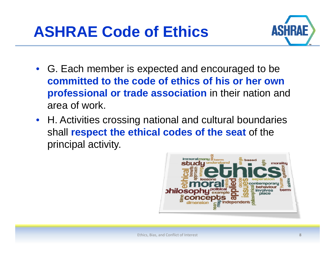



- G. Each member is expected and encouraged to be **committed to the code of ethics of his or her own professional or trade association** in their nation and area of work.
- H. Activities crossing national and cultural boundaries shall **respect the ethical codes of the seat** of the principal activity.

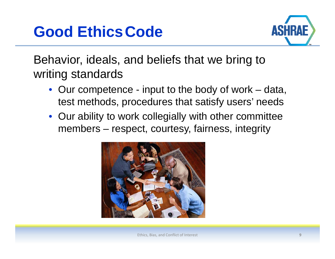# **Good EthicsCode**



Behavior, ideals, and beliefs that we bring to writin g standards

- Our competence input to the body of work data, test methods, procedures that satisfy users' needs
- Our ability to work collegially with other committee members – respect, courtesy, fairness, integrity

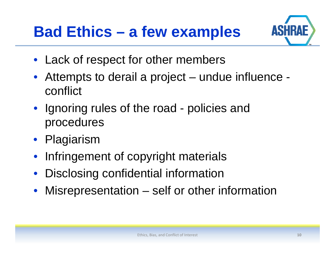# **Bad Ethics – a few examples**



- Lack of respect for other members
- Attempts to derail <sup>a</sup> project – undue influence conflict
- Ignoring rules of the road policies and procedures
- Pla giarism
- $\bullet$ Infringement of copyright materials
- $\bullet$ Disclosin g confidential information
- $\bullet$ Misrepresentation – self or other information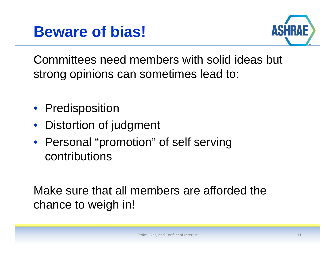



Committees need members with solid ideas but strong opinions can sometimes lead to:

- Predisposition
- Distortion of judgment
- Personal "promotion" of self serving contributions

Make sure that all members are afforded the chance to weigh in!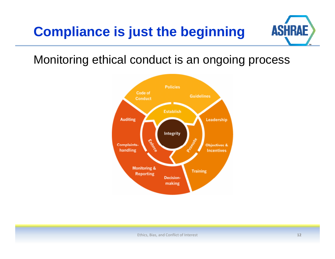## **Compliance is just the beginning**



Monitoring ethical conduct is an ongoing process

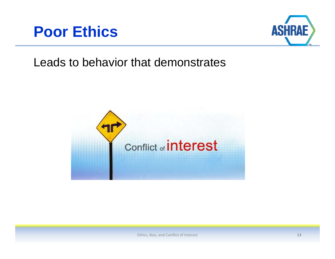



## Leads to behavior that demonstrates

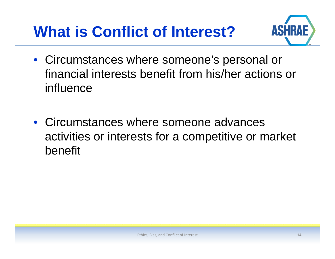# **What is Conflict of Interest?**



- Circumstances where someone's personal or financial interests benefit from his/her actions or influence
- Circumstances where someone advances activities or interests for a competitive or market benefit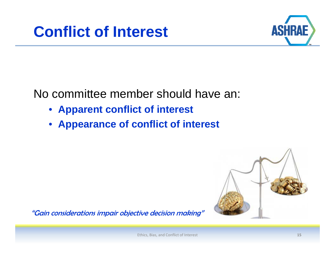



No committee member should have an:

- **Apparent conflict of interest**
- **Appearance of conflict of interest**



"Gain considerations impair objective decision making"

Ethics, Bias, and Conflict of Interest **15**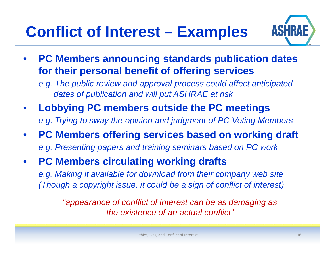# **Conflict of Interest – Examples**



 $\bullet$  **PC Members announcing standards publication dates for their personal benefit of offering services**

*e.g. The public review and approval process could affect anticipated dates of publication and will put ASHRAE at risk*

- $\bullet$ **• Lobbying PC members outside the PC meetings** *e.g. Trying to sway the opinion and judgment of PC Voting Members*
- $\bullet$  **PC Members offering services based on working draft**  e.g. Presenting papers and training seminars based on PC work
- $\bullet$  **PC Members circulating working drafts**  e.g. Making it available for download from their company web site *(Though a copyright issue, it could be a sign of conflict of interest)*

*"appearance of conflict of interest can be as damaging as the e istence of an act al conflict"existenceual*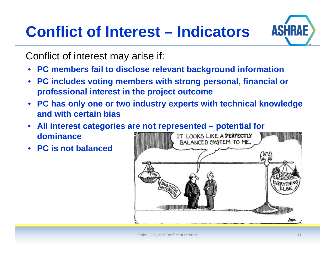# **Conflict of Interest – Indicators**



Conflict of interest may arise if:

- **PC members fail to disclose relevant background information**
- $\bullet$  **PC includes voting members with strong personal financial or personal, professional interest in the project outcome**
- $\bullet$  **PC has only one or two industry experts with technical knowledge and with certain bias**
- **All interest categories are not represented – potential for**   $\bullet$ **dominance**IT LOOKS LIKE A PERFECTLY
- **PC** is not balanced

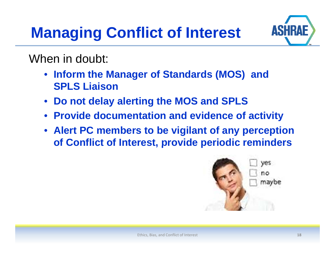# **Managing Conflict of Interest**



When in doubt:

- **Inform the Manager of Standards (MOS) and SPLS Liaison**
- •**Do not delay alerting the MOS and SPLS**
- Provide documentation and evidence of activity
- **Alert PC members to be vigilant of any perception of Conflict of Interest, provide periodic reminders**

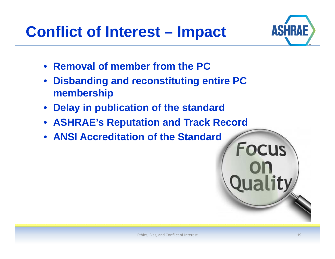**Conflict of Interest – Impact**



- **Removal of member from the PC**
- •**Disbanding and reconstituting entire PC membership**
- •**Dela y p in publication of the standard**
- **ASHRAE's Reputation and Track Record**
- **ANSI Accreditation of the Standard**

**Focus** 

**Quality**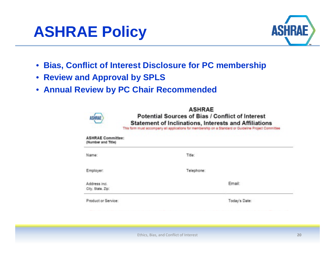



- **Bias, Conflict of Interest Disclosure for PC membership**
- **Review and App y roval by SPLS**
- **Annual Review by PC Chair Recommended**

| US III M                                       | <b>ASHRAE</b><br><b>Potential Sources of Bias / Conflict of Interest</b><br>Statement of Inclinations, Interests and Affiliations<br>This form must accompany all applications for membership on a Standard or Guideline Project Committee |               |
|------------------------------------------------|--------------------------------------------------------------------------------------------------------------------------------------------------------------------------------------------------------------------------------------------|---------------|
| <b>ASHRAE Committee:</b><br>(Number and Title) |                                                                                                                                                                                                                                            |               |
| Name:                                          | Title:                                                                                                                                                                                                                                     |               |
| Employer:                                      | Telephone:                                                                                                                                                                                                                                 |               |
| Address Incl.<br>City, State, Zip.             |                                                                                                                                                                                                                                            | Email:        |
| Product or Service:                            |                                                                                                                                                                                                                                            | Today's Date: |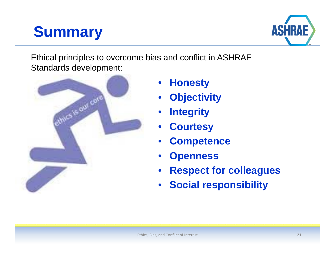# **Summary**



Ethical principles to overcome bias and conflict in ASHRAE Standards development:



- **H t Honesty** •
- •**Objectivity**
- •**Integrity**
- •**Courtesy**
- •**Competence**
- •**Openness**
- •**Respect for colleagues**
- •**Social responsibility**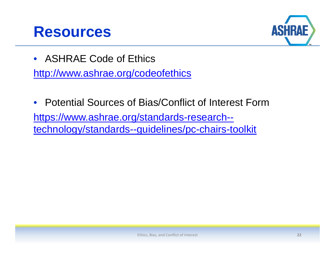## **Resources**



- ASHRAE Code of Ethics http://www.ashrae.org/codeofethics
- Potential Sources of Bias/Conflict of Interest Formhttps://www.ashrae.org/standards-research- technology/standards--guidelines/pc-chairs-toolkit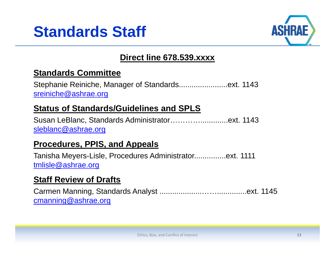



### **Direct line 678.539.xxxx**

### **Standards Committee**

Stephanie Reiniche, Manager of Standards...........................ext. 1143 sreiniche@ashrae.org

### **Status of Standards/Guidelines and SPLS**

Susan LeBlanc, Standards Administrator………….............ext. 1143 sleblanc@ashrae.org

### **Procedures, PPIS, and Appeals**

Tanisha Meyers-Lisle, Procedures Administrator...............ext. 1111 tmlisle@ashrae.org

### **Staff Review of Drafts**

Carmen Manning, Standards Analyst ....................……..............ext. 1145 cmanning@ashrae.org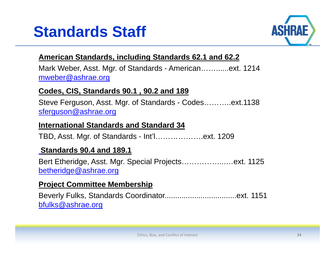



### **American Standards, including Standards 62.1 and 62.2**

Mark Weber, Asst. Mgr. of Standards - American……......ext. 1214 mweber@ashrae.org

#### **Codes, CIS, Standards 90.1 , 90.2 and 189**

Steve Ferguson, Asst. Mgr. of Standards - Codes………..ext.1138 sferguson@ashrae.org

#### **International Standards and Standard 34**

TBD, Asst. Mgr. of Standards - Int'l……………….ext. 1209

#### **Standards 90.4 and 189.1**

Bert Etheridge, Asst. Mgr. Special Projects……………...…ext. 1125 betheridge@ashrae.org

### **Project Committee Membership**

Beverly Fulks, Standards Coordinator..................................ext. 1151 bfulks@ashrae.org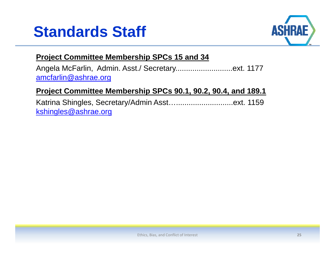



### **Project Committee Membership SPCs 15 and 34**

Angela McFarlin, Admin. Asst./ Secretary...........................ext. 1177 amcfarlin@ashrae.org

### **Project Committee Membership SPCs 90.1, 90.2, 90.4, and 189.1**

Katrina Shingles, Secretary/Admin Asst…...........................ext. 1159 kshingles@ashrae.org